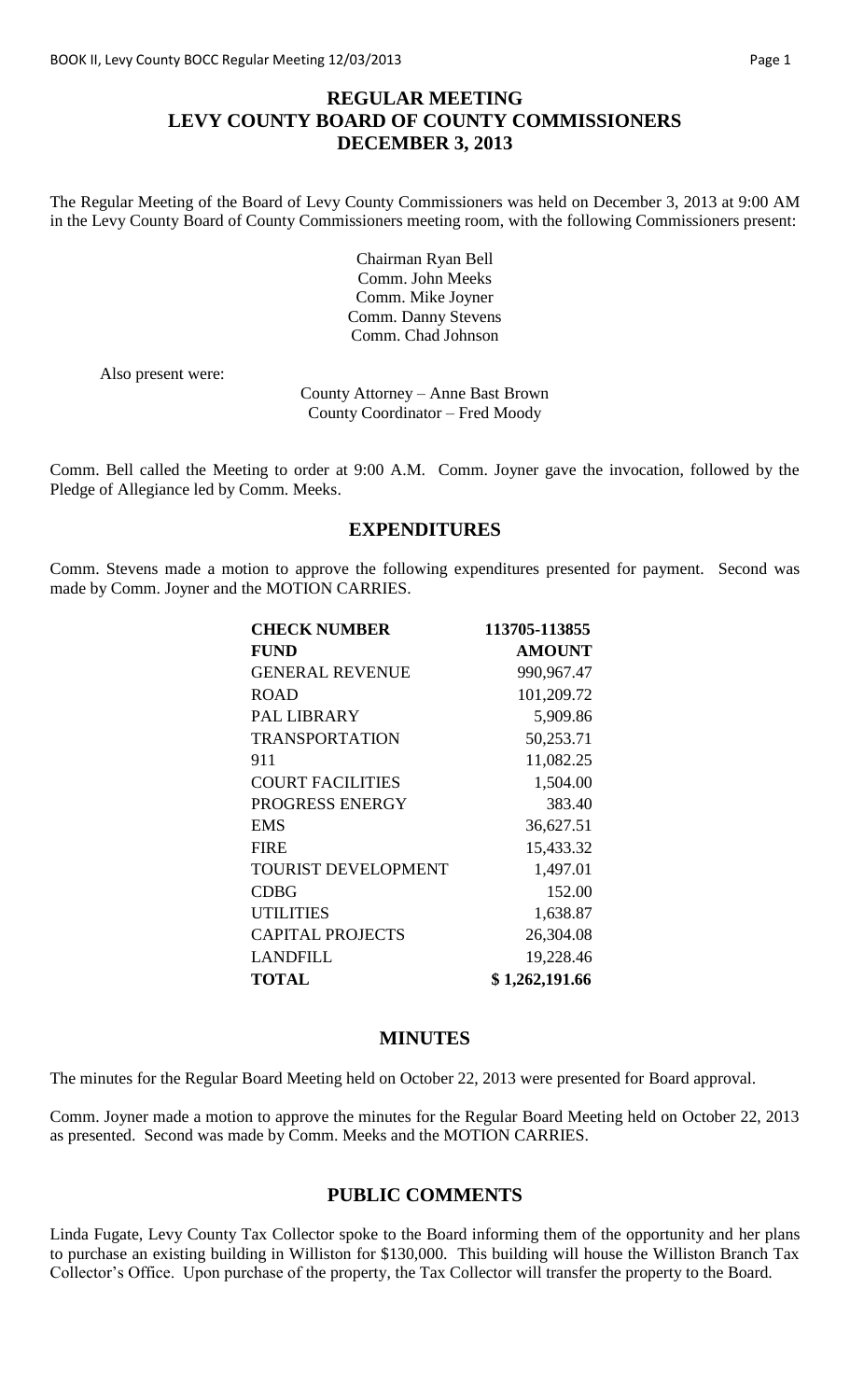## **REGULAR MEETING LEVY COUNTY BOARD OF COUNTY COMMISSIONERS DECEMBER 3, 2013**

The Regular Meeting of the Board of Levy County Commissioners was held on December 3, 2013 at 9:00 AM in the Levy County Board of County Commissioners meeting room, with the following Commissioners present:

> Chairman Ryan Bell Comm. John Meeks Comm. Mike Joyner Comm. Danny Stevens Comm. Chad Johnson

Also present were:

County Attorney – Anne Bast Brown County Coordinator – Fred Moody

Comm. Bell called the Meeting to order at 9:00 A.M. Comm. Joyner gave the invocation, followed by the Pledge of Allegiance led by Comm. Meeks.

### **EXPENDITURES**

Comm. Stevens made a motion to approve the following expenditures presented for payment. Second was made by Comm. Joyner and the MOTION CARRIES.

| <b>CHECK NUMBER</b>        | 113705-113855  |
|----------------------------|----------------|
| <b>FUND</b>                | <b>AMOUNT</b>  |
| <b>GENERAL REVENUE</b>     | 990,967.47     |
| <b>ROAD</b>                | 101,209.72     |
| <b>PAL LIBRARY</b>         | 5,909.86       |
| <b>TRANSPORTATION</b>      | 50,253.71      |
| 911                        | 11,082.25      |
| <b>COURT FACILITIES</b>    | 1,504.00       |
| PROGRESS ENERGY            | 383.40         |
| <b>EMS</b>                 | 36,627.51      |
| <b>FIRE</b>                | 15,433.32      |
| <b>TOURIST DEVELOPMENT</b> | 1,497.01       |
| <b>CDBG</b>                | 152.00         |
| <b>UTILITIES</b>           | 1,638.87       |
| <b>CAPITAL PROJECTS</b>    | 26,304.08      |
| <b>LANDFILL</b>            | 19,228.46      |
| <b>TOTAL</b>               | \$1,262,191.66 |

#### **MINUTES**

The minutes for the Regular Board Meeting held on October 22, 2013 were presented for Board approval.

Comm. Joyner made a motion to approve the minutes for the Regular Board Meeting held on October 22, 2013 as presented. Second was made by Comm. Meeks and the MOTION CARRIES.

## **PUBLIC COMMENTS**

Linda Fugate, Levy County Tax Collector spoke to the Board informing them of the opportunity and her plans to purchase an existing building in Williston for \$130,000. This building will house the Williston Branch Tax Collector's Office. Upon purchase of the property, the Tax Collector will transfer the property to the Board.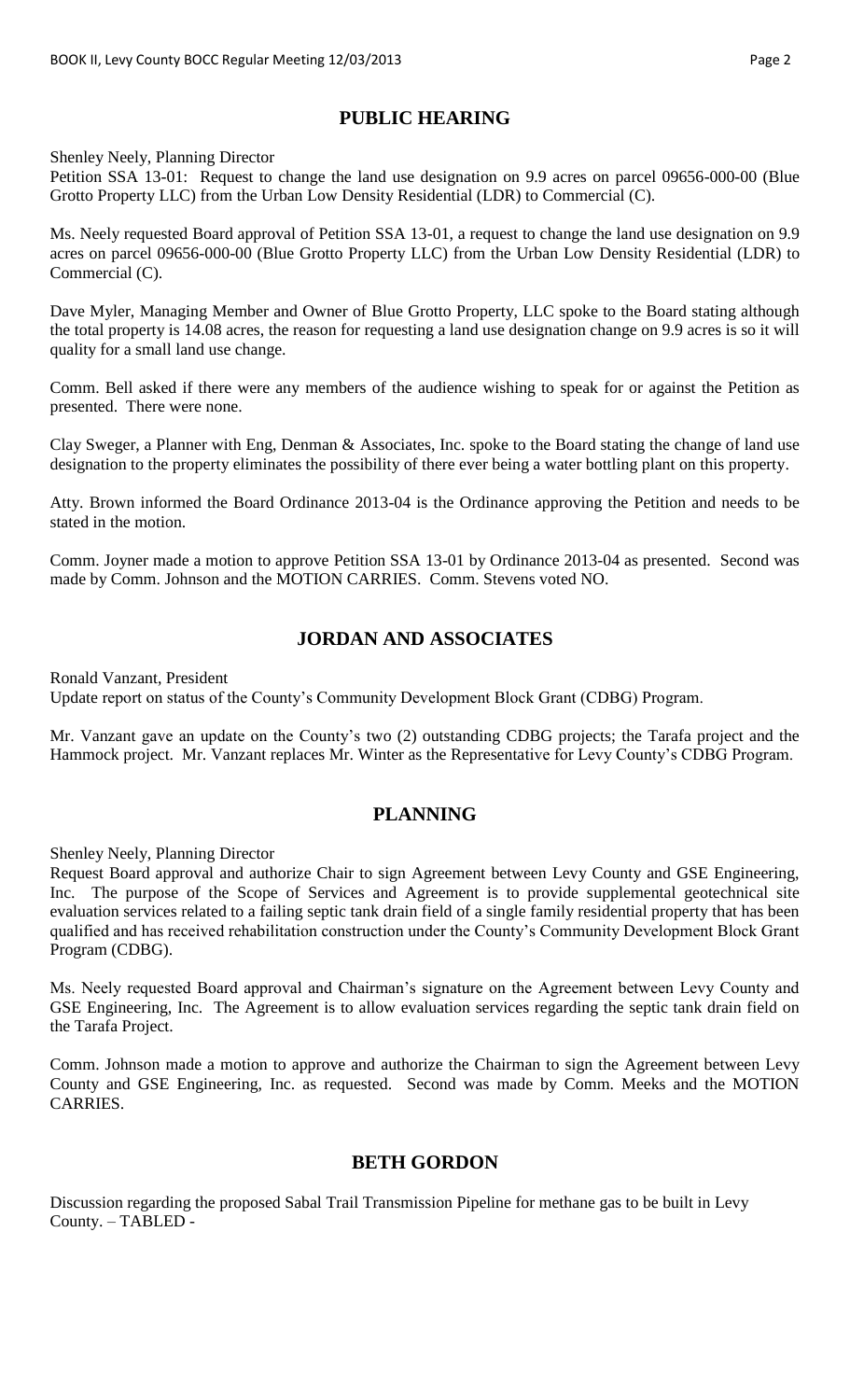# **PUBLIC HEARING**

Shenley Neely, Planning Director

Petition SSA 13-01: Request to change the land use designation on 9.9 acres on parcel 09656-000-00 (Blue Grotto Property LLC) from the Urban Low Density Residential (LDR) to Commercial (C).

Ms. Neely requested Board approval of Petition SSA 13-01, a request to change the land use designation on 9.9 acres on parcel 09656-000-00 (Blue Grotto Property LLC) from the Urban Low Density Residential (LDR) to Commercial (C).

Dave Myler, Managing Member and Owner of Blue Grotto Property, LLC spoke to the Board stating although the total property is 14.08 acres, the reason for requesting a land use designation change on 9.9 acres is so it will quality for a small land use change.

Comm. Bell asked if there were any members of the audience wishing to speak for or against the Petition as presented. There were none.

Clay Sweger, a Planner with Eng, Denman & Associates, Inc. spoke to the Board stating the change of land use designation to the property eliminates the possibility of there ever being a water bottling plant on this property.

Atty. Brown informed the Board Ordinance 2013-04 is the Ordinance approving the Petition and needs to be stated in the motion.

Comm. Joyner made a motion to approve Petition SSA 13-01 by Ordinance 2013-04 as presented. Second was made by Comm. Johnson and the MOTION CARRIES. Comm. Stevens voted NO.

# **JORDAN AND ASSOCIATES**

Ronald Vanzant, President

Update report on status of the County's Community Development Block Grant (CDBG) Program.

Mr. Vanzant gave an update on the County's two (2) outstanding CDBG projects; the Tarafa project and the Hammock project. Mr. Vanzant replaces Mr. Winter as the Representative for Levy County's CDBG Program.

#### **PLANNING**

Shenley Neely, Planning Director

Request Board approval and authorize Chair to sign Agreement between Levy County and GSE Engineering, Inc. The purpose of the Scope of Services and Agreement is to provide supplemental geotechnical site evaluation services related to a failing septic tank drain field of a single family residential property that has been qualified and has received rehabilitation construction under the County's Community Development Block Grant Program (CDBG).

Ms. Neely requested Board approval and Chairman's signature on the Agreement between Levy County and GSE Engineering, Inc. The Agreement is to allow evaluation services regarding the septic tank drain field on the Tarafa Project.

Comm. Johnson made a motion to approve and authorize the Chairman to sign the Agreement between Levy County and GSE Engineering, Inc. as requested. Second was made by Comm. Meeks and the MOTION CARRIES.

#### **BETH GORDON**

Discussion regarding the proposed Sabal Trail Transmission Pipeline for methane gas to be built in Levy County. – TABLED -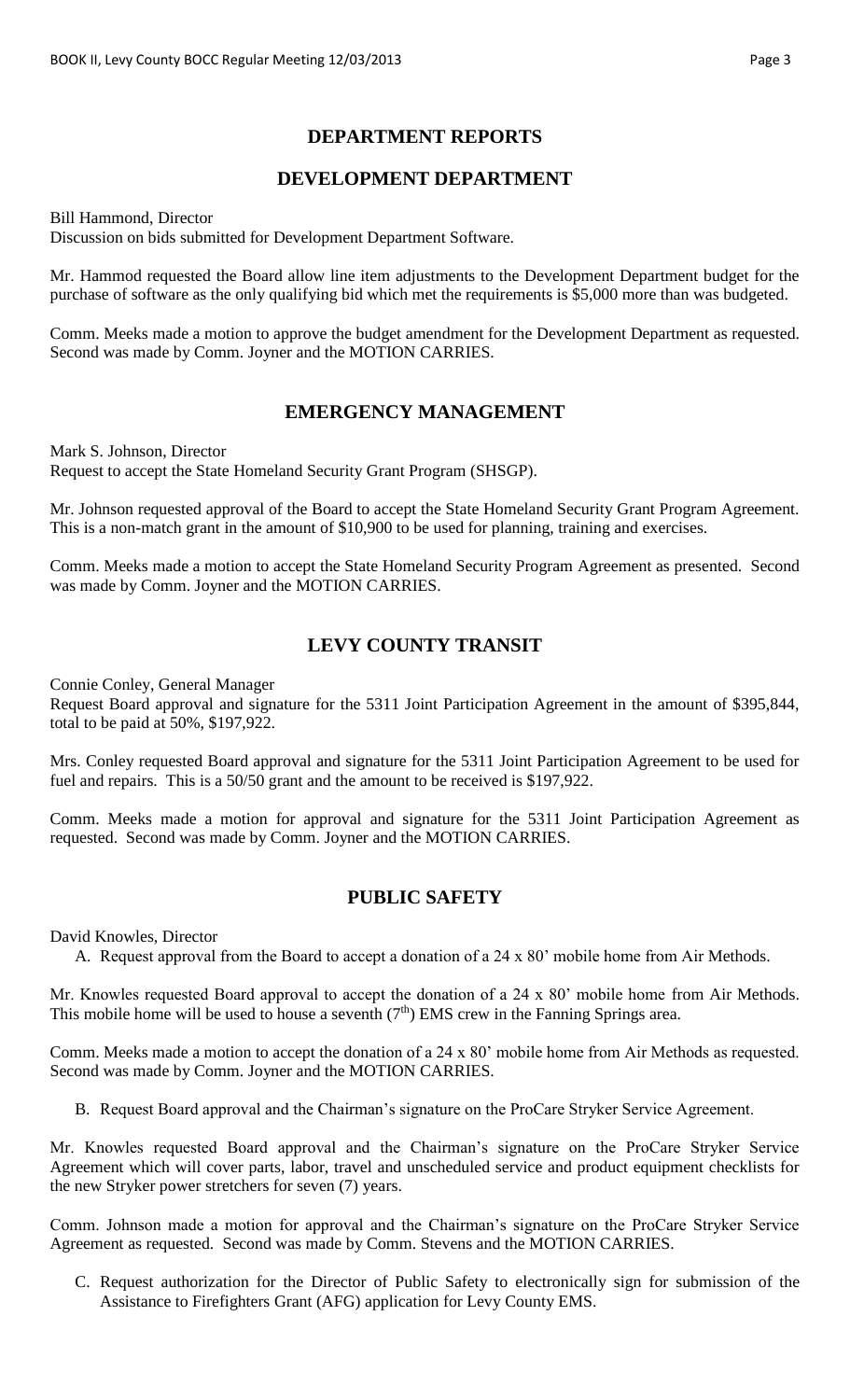## **DEPARTMENT REPORTS**

### **DEVELOPMENT DEPARTMENT**

Bill Hammond, Director

Discussion on bids submitted for Development Department Software.

Mr. Hammod requested the Board allow line item adjustments to the Development Department budget for the purchase of software as the only qualifying bid which met the requirements is \$5,000 more than was budgeted.

Comm. Meeks made a motion to approve the budget amendment for the Development Department as requested. Second was made by Comm. Joyner and the MOTION CARRIES.

### **EMERGENCY MANAGEMENT**

Mark S. Johnson, Director Request to accept the State Homeland Security Grant Program (SHSGP).

Mr. Johnson requested approval of the Board to accept the State Homeland Security Grant Program Agreement. This is a non-match grant in the amount of \$10,900 to be used for planning, training and exercises.

Comm. Meeks made a motion to accept the State Homeland Security Program Agreement as presented. Second was made by Comm. Joyner and the MOTION CARRIES.

# **LEVY COUNTY TRANSIT**

Connie Conley, General Manager

Request Board approval and signature for the 5311 Joint Participation Agreement in the amount of \$395,844, total to be paid at 50%, \$197,922.

Mrs. Conley requested Board approval and signature for the 5311 Joint Participation Agreement to be used for fuel and repairs. This is a 50/50 grant and the amount to be received is \$197,922.

Comm. Meeks made a motion for approval and signature for the 5311 Joint Participation Agreement as requested. Second was made by Comm. Joyner and the MOTION CARRIES.

#### **PUBLIC SAFETY**

David Knowles, Director

A. Request approval from the Board to accept a donation of a 24 x 80' mobile home from Air Methods.

Mr. Knowles requested Board approval to accept the donation of a 24 x 80' mobile home from Air Methods. This mobile home will be used to house a seventh  $(7<sup>th</sup>)$  EMS crew in the Fanning Springs area.

Comm. Meeks made a motion to accept the donation of a 24 x 80' mobile home from Air Methods as requested. Second was made by Comm. Joyner and the MOTION CARRIES.

B. Request Board approval and the Chairman's signature on the ProCare Stryker Service Agreement.

Mr. Knowles requested Board approval and the Chairman's signature on the ProCare Stryker Service Agreement which will cover parts, labor, travel and unscheduled service and product equipment checklists for the new Stryker power stretchers for seven (7) years.

Comm. Johnson made a motion for approval and the Chairman's signature on the ProCare Stryker Service Agreement as requested. Second was made by Comm. Stevens and the MOTION CARRIES.

C. Request authorization for the Director of Public Safety to electronically sign for submission of the Assistance to Firefighters Grant (AFG) application for Levy County EMS.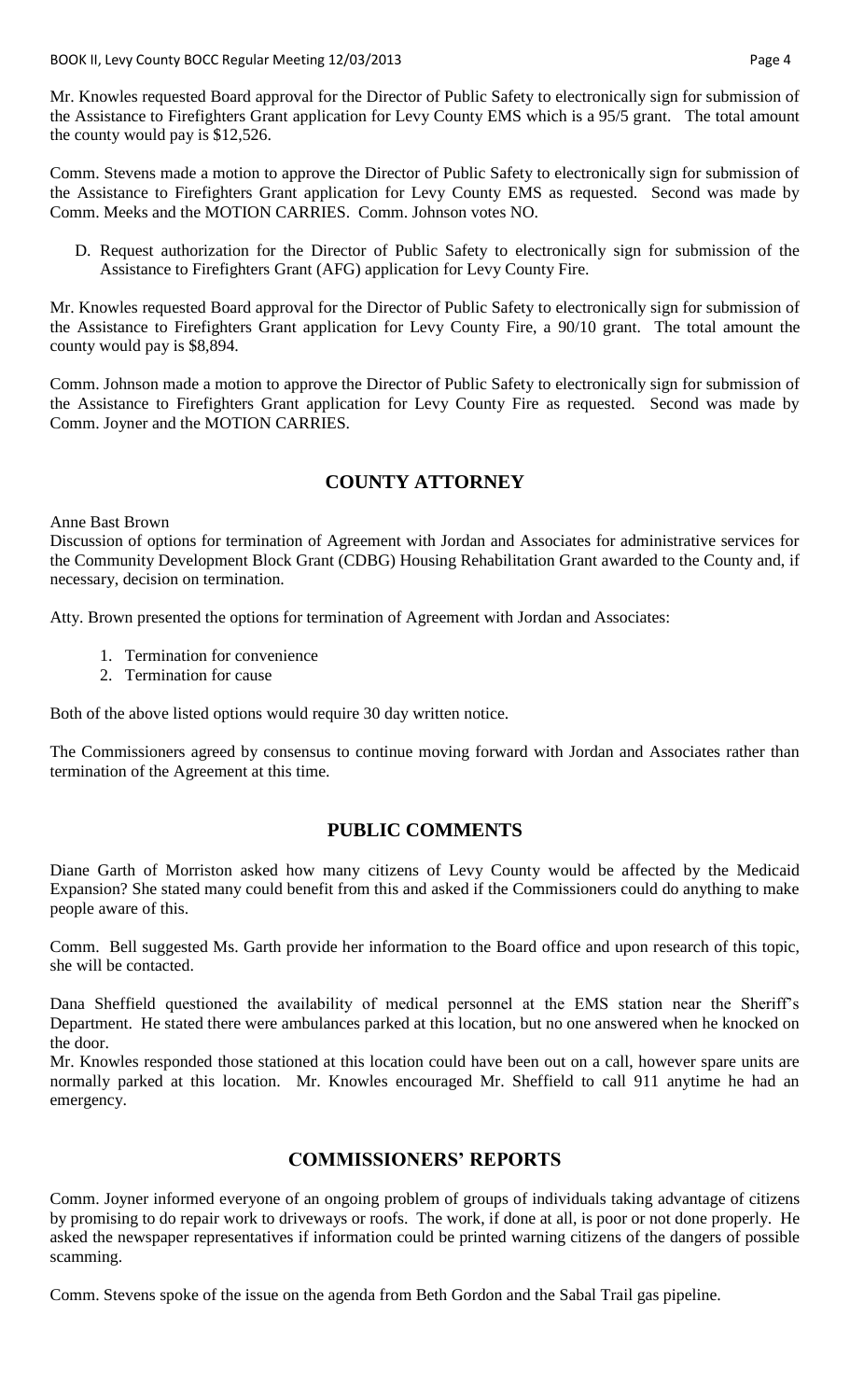Mr. Knowles requested Board approval for the Director of Public Safety to electronically sign for submission of the Assistance to Firefighters Grant application for Levy County EMS which is a 95/5 grant. The total amount the county would pay is \$12,526.

Comm. Stevens made a motion to approve the Director of Public Safety to electronically sign for submission of the Assistance to Firefighters Grant application for Levy County EMS as requested. Second was made by Comm. Meeks and the MOTION CARRIES. Comm. Johnson votes NO.

D. Request authorization for the Director of Public Safety to electronically sign for submission of the Assistance to Firefighters Grant (AFG) application for Levy County Fire.

Mr. Knowles requested Board approval for the Director of Public Safety to electronically sign for submission of the Assistance to Firefighters Grant application for Levy County Fire, a 90/10 grant. The total amount the county would pay is \$8,894.

Comm. Johnson made a motion to approve the Director of Public Safety to electronically sign for submission of the Assistance to Firefighters Grant application for Levy County Fire as requested. Second was made by Comm. Joyner and the MOTION CARRIES.

## **COUNTY ATTORNEY**

Anne Bast Brown

Discussion of options for termination of Agreement with Jordan and Associates for administrative services for the Community Development Block Grant (CDBG) Housing Rehabilitation Grant awarded to the County and, if necessary, decision on termination.

Atty. Brown presented the options for termination of Agreement with Jordan and Associates:

- 1. Termination for convenience
- 2. Termination for cause

Both of the above listed options would require 30 day written notice.

The Commissioners agreed by consensus to continue moving forward with Jordan and Associates rather than termination of the Agreement at this time.

## **PUBLIC COMMENTS**

Diane Garth of Morriston asked how many citizens of Levy County would be affected by the Medicaid Expansion? She stated many could benefit from this and asked if the Commissioners could do anything to make people aware of this.

Comm. Bell suggested Ms. Garth provide her information to the Board office and upon research of this topic, she will be contacted.

Dana Sheffield questioned the availability of medical personnel at the EMS station near the Sheriff's Department. He stated there were ambulances parked at this location, but no one answered when he knocked on the door.

Mr. Knowles responded those stationed at this location could have been out on a call, however spare units are normally parked at this location. Mr. Knowles encouraged Mr. Sheffield to call 911 anytime he had an emergency.

## **COMMISSIONERS' REPORTS**

Comm. Joyner informed everyone of an ongoing problem of groups of individuals taking advantage of citizens by promising to do repair work to driveways or roofs. The work, if done at all, is poor or not done properly. He asked the newspaper representatives if information could be printed warning citizens of the dangers of possible scamming.

Comm. Stevens spoke of the issue on the agenda from Beth Gordon and the Sabal Trail gas pipeline.